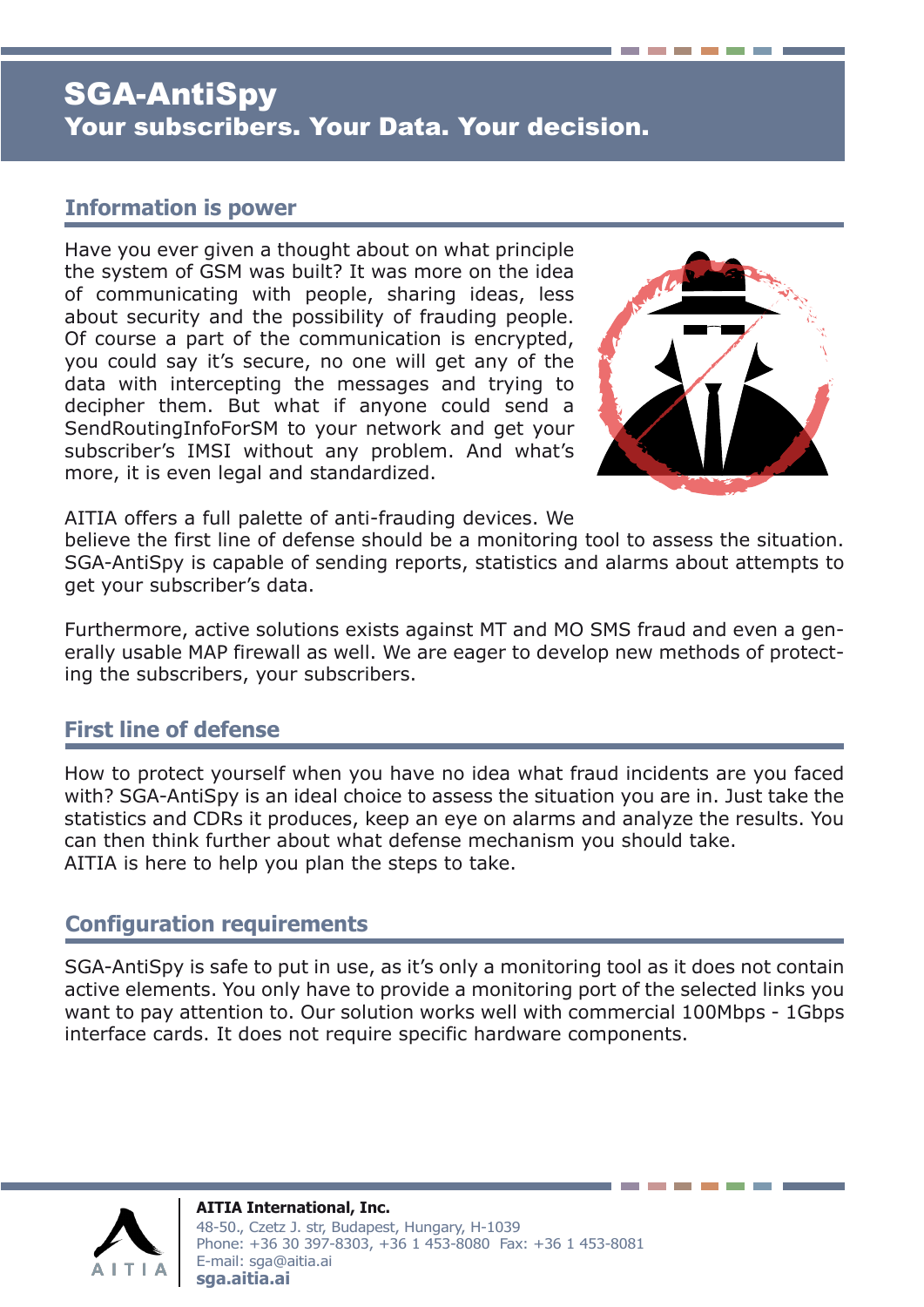# SGA-AntiSpy Your subscribers. Your Data. Your decision.

#### **Information is power**

Have you ever given a thought about on what principle the system of GSM was built? It was more on the idea of communicating with people, sharing ideas, less about security and the possibility of frauding people. Of course a part of the communication is encrypted, you could say it's secure, no one will get any of the data with intercepting the messages and trying to decipher them. But what if anyone could send a SendRoutingInfoForSM to your network and get your subscriber's IMSI without any problem. And what's more, it is even legal and standardized.



AITIA offers a full palette of anti-frauding devices. We

believe the first line of defense should be a monitoring tool to assess the situation. SGA-AntiSpy is capable of sending reports, statistics and alarms about attempts to get your subscriber's data.

Furthermore, active solutions exists against MT and MO SMS fraud and even a generally usable MAP firewall as well. We are eager to develop new methods of protecting the subscribers, your subscribers.

#### **First line of defense**

How to protect yourself when you have no idea what fraud incidents are you faced with? SGA-AntiSpy is an ideal choice to assess the situation you are in. Just take the statistics and CDRs it produces, keep an eye on alarms and analyze the results. You can then think further about what defense mechanism you should take. AITIA is here to help you plan the steps to take.

#### **Configuration requirements**

SGA-AntiSpy is safe to put in use, as it's only a monitoring tool as it does not contain active elements. You only have to provide a monitoring port of the selected links you want to pay attention to. Our solution works well with commercial 100Mbps - 1Gbps interface cards. It does not require specific hardware components.